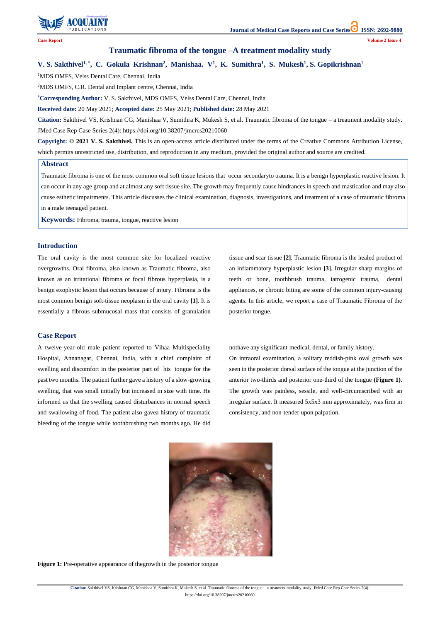

**Citation:** Sakthivel VS, Krishnan CG, Manishaa V, Sumithra K, Mukesh S, et al. Traumatic fibroma of the tongue – a treatment modality study. JMed Case Rep Case Series 2(4):

https://doi.org/10.38207/jmcrcs20210060

# **Traumatic fibroma of the tongue –A treatment modality study**

# V. S. Sakthivel<sup>1,\*</sup>, C. Gokula Krishnan<sup>2</sup>, Manishaa. V<sup>1</sup>, K. Sumithra<sup>1</sup>, S. Mukesh<sup>1</sup>, S. Gopikrishnan<sup>1</sup>

<sup>1</sup>MDS OMFS, Velss Dental Care, Chennai, India

<sup>2</sup>MDS OMFS, C.R. Dental and Implant centre, Chennai, India

**\*Corresponding Author:** V. S. Sakthivel, MDS OMFS, Velss Dental Care, Chennai, India

**Received date:** 20 May 2021; **Accepted date:** 25 May 2021; **Published date:** 28 May 2021

**Citation:** Sakthivel VS, Krishnan CG, Manishaa V, Sumithra K, Mukesh S, et al. Traumatic fibroma of the tongue – a treatment modality study. JMed Case Rep Case Series 2(4): https://doi.org/10.38207/jmcrcs20210060

**Copyright: © 2021 V. S. Sakthivel.** This is an open-access article distributed under the terms of the Creative Commons Attribution License, which permits unrestricted use, distribution, and reproduction in any medium, provided the original author and source are credited.

## **Introduction**

The oral cavity is the most common site for localized reactive overgrowths. Oral fibroma, also known as Traumatic fibroma, also known as an irritational fibroma or focal fibrous hyperplasia, is a benign exophytic lesion that occurs because of injury. Fibroma is the most common benign soft-tissue neoplasm in the oral cavity **[1]**. It is essentially a fibrous submucosal mass that consists of granulation tissue and scar tissue **[2]**. Traumatic fibroma is the healed product of an inflammatory hyperplastic lesion **[3]**. Irregular sharp margins of teeth or bone, toothbrush trauma, iatrogenic trauma, dental appliances, or chronic biting are some of the common injury-causing agents. In this article, we report a case of Traumatic Fibroma of the posterior tongue.

### **Case Report**

A twelve-year-old male patient reported to Vihaa Multispeciality Hospital, Annanagar, Chennai, India, with a chief complaint of swelling and discomfort in the posterior part of his tongue for the past two months. The patient further gave a history of a slow-growing swelling, that was small initially but increased in size with time. He informed us that the swelling caused disturbances in normal speech and swallowing of food. The patient also gavea history of traumatic bleeding of the tongue while toothbrushing two months ago. He did nothave any significant medical, dental, or family history.

On intraoral examination, a solitary reddish-pink oval growth was seen in the posterior dorsal surface of the tongue at the junction of the anterior two-thirds and posterior one-third of the tongue **(Figure 1)**. The growth was painless, sessile, and well-circumscribed with an irregular surface. It measured 5x5x3 mm approximately, was firm in consistency, and non-tender upon palpation.



**Figure 1:** Pre-operative appearance of the growth in the posterior tongue

#### **Abstract**

Traumatic fibroma is one of the most common oral soft tissue lesions that occur secondaryto trauma. It is a benign hyperplastic reactive lesion. It can occur in any age group and at almost any soft tissue site. The growth may frequently cause hindrances in speech and mastication and may also cause esthetic impairments. This article discusses the clinical examination, diagnosis, investigations, and treatment of a case of traumatic fibroma in a male teenaged patient.

**Keywords:** Fibroma, trauma, tongue, reactive lesion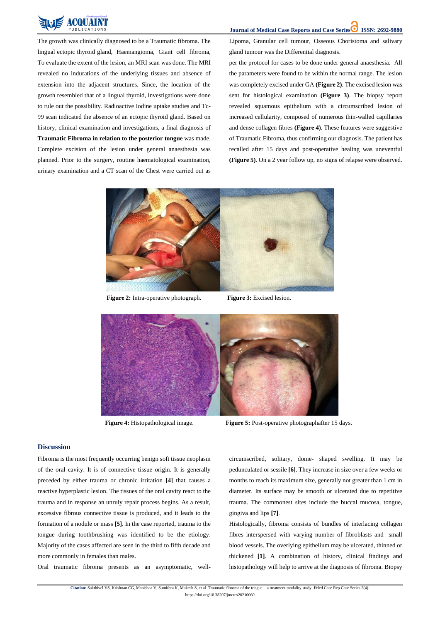**Journal of Medical Case Reports and Case Series ISSN: 2692-9880** 

**Citation:** Sakthivel VS, Krishnan CG, Manishaa V, Sumithra K, Mukesh S, et al. Traumatic fibroma of the tongue – a treatment modality study. JMed Case Rep Case Series 2(4):

https://doi.org/10.38207/jmcrcs20210060



The growth was clinically diagnosed to be a Traumatic fibroma. The lingual ectopic thyroid gland, Haemangioma, Giant cell fibroma, To evaluate the extent of the lesion, an MRI scan was done. The MRI revealed no indurations of the underlying tissues and absence of extension into the adjacent structures. Since, the location of the growth resembled that of a lingual thyroid, investigations were done to rule out the possibility. Radioactive Iodine uptake studies and Tc-99 scan indicated the absence of an ectopic thyroid gland. Based on history, clinical examination and investigations, a final diagnosis of **Traumatic Fibroma in relation to the posterior tongue** was made. Complete excision of the lesion under general anaesthesia was planned. Prior to the surgery, routine haematological examination, urinary examination and a CT scan of the Chest were carried out as Lipoma, Granular cell tumour, Osseous Choristoma and salivary gland tumour was the Differential diagnosis.

per the protocol for cases to be done under general anaesthesia. All the parameters were found to be within the normal range. The lesion was completely excised under GA **(Figure 2)**. The excised lesion was sent for histological examination **(Figure 3)**. The biopsy report revealed squamous epithelium with a circumscribed lesion of increased cellularity, composed of numerous thin-walled capillaries and dense collagen fibres **(Figure 4)**. These features were suggestive of Traumatic Fibroma, thus confirming our diagnosis. The patient has recalled after 15 days and post-operative healing was uneventful **(Figure 5)**. On a 2 year follow up, no signs of relapse were observed.



 **Figure 2:** Intra-operative photograph. **Figure 3:** Excised lesion.



**Figure 4:** Histopathological image. **Figure 5:** Post-operative photographafter 15 days.

#### **Discussion**

Fibroma is the most frequently occurring benign soft tissue neoplasm of the oral cavity. It is of connective tissue origin. It is generally

preceded by either trauma or chronic irritation **[4]** that causes a reactive hyperplastic lesion. The tissues of the oral cavity react to the trauma and in response an unruly repair process begins. As a result, excessive fibrous connective tissue is produced, and it leads to the formation of a nodule or mass **[5]**. In the case reported, trauma to the tongue during toothbrushing was identified to be the etiology. Majority of the cases affected are seen in the third to fifth decade and more commonly in females than males.

Oral traumatic fibroma presents as an asymptomatic, well-

circumscribed, solitary, dome- shaped swelling. It may be pedunculated or sessile **[6]**. They increase in size over a few weeks or months to reach its maximum size, generally not greater than 1 cm in diameter. Its surface may be smooth or ulcerated due to repetitive trauma. The commonest sites include the buccal mucosa, tongue, gingiva and lips **[7]**.

Histologically, fibroma consists of bundles of interlacing collagen fibres interspersed with varying number of fibroblasts and small blood vessels. The overlying epithelium may be ulcerated, thinned or thickened **[1]**. A combination of history, clinical findings and histopathology will help to arrive at the diagnosis of fibroma. Biopsy